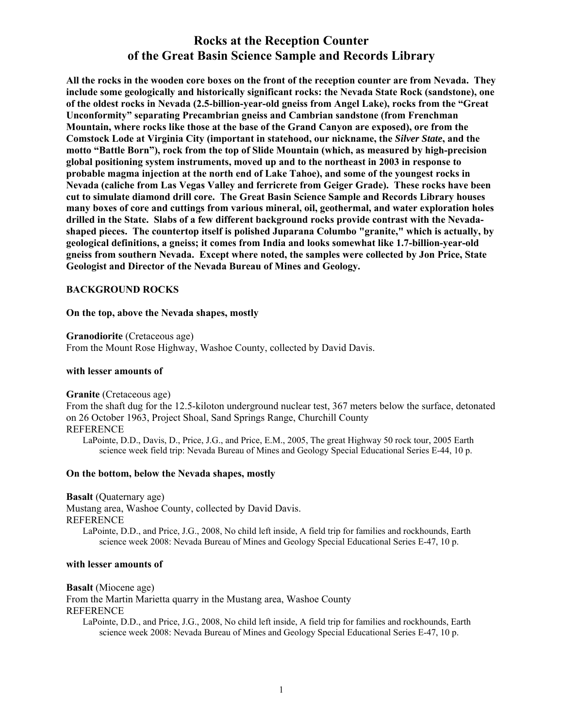# **Rocks at the Reception Counter of the Great Basin Science Sample and Records Library**

**All the rocks in the wooden core boxes on the front of the reception counter are from Nevada. They include some geologically and historically significant rocks: the Nevada State Rock (sandstone), one of the oldest rocks in Nevada (2.5-billion-year-old gneiss from Angel Lake), rocks from the "Great Unconformity" separating Precambrian gneiss and Cambrian sandstone (from Frenchman Mountain, where rocks like those at the base of the Grand Canyon are exposed), ore from the Comstock Lode at Virginia City (important in statehood, our nickname, the** *Silver State***, and the motto "Battle Born"), rock from the top of Slide Mountain (which, as measured by high-precision global positioning system instruments, moved up and to the northeast in 2003 in response to probable magma injection at the north end of Lake Tahoe), and some of the youngest rocks in Nevada (caliche from Las Vegas Valley and ferricrete from Geiger Grade). These rocks have been cut to simulate diamond drill core. The Great Basin Science Sample and Records Library houses many boxes of core and cuttings from various mineral, oil, geothermal, and water exploration holes drilled in the State. Slabs of a few different background rocks provide contrast with the Nevadashaped pieces. The countertop itself is polished Juparana Columbo "granite," which is actually, by geological definitions, a gneiss; it comes from India and looks somewhat like 1.7-billion-year-old gneiss from southern Nevada. Except where noted, the samples were collected by Jon Price, State Geologist and Director of the Nevada Bureau of Mines and Geology.** 

### **BACKGROUND ROCKS**

#### **On the top, above the Nevada shapes, mostly**

**Granodiorite** (Cretaceous age)

From the Mount Rose Highway, Washoe County, collected by David Davis.

#### **with lesser amounts of**

#### **Granite** (Cretaceous age)

From the shaft dug for the 12.5-kiloton underground nuclear test, 367 meters below the surface, detonated on 26 October 1963, Project Shoal, Sand Springs Range, Churchill County REFERENCE

LaPointe, D.D., Davis, D., Price, J.G., and Price, E.M., 2005, The great Highway 50 rock tour, 2005 Earth science week field trip: Nevada Bureau of Mines and Geology Special Educational Series E-44, 10 p.

#### **On the bottom, below the Nevada shapes, mostly**

**Basalt** (Quaternary age)

Mustang area, Washoe County, collected by David Davis. REFERENCE LaPointe, D.D., and Price, J.G., 2008, No child left inside, A field trip for families and rockhounds, Earth science week 2008: Nevada Bureau of Mines and Geology Special Educational Series E-47, 10 p.

#### **with lesser amounts of**

**Basalt** (Miocene age)

From the Martin Marietta quarry in the Mustang area, Washoe County REFERENCE LaPointe, D.D., and Price, J.G., 2008, No child left inside, A field trip for families and rockhounds, Earth

science week 2008: Nevada Bureau of Mines and Geology Special Educational Series E-47, 10 p.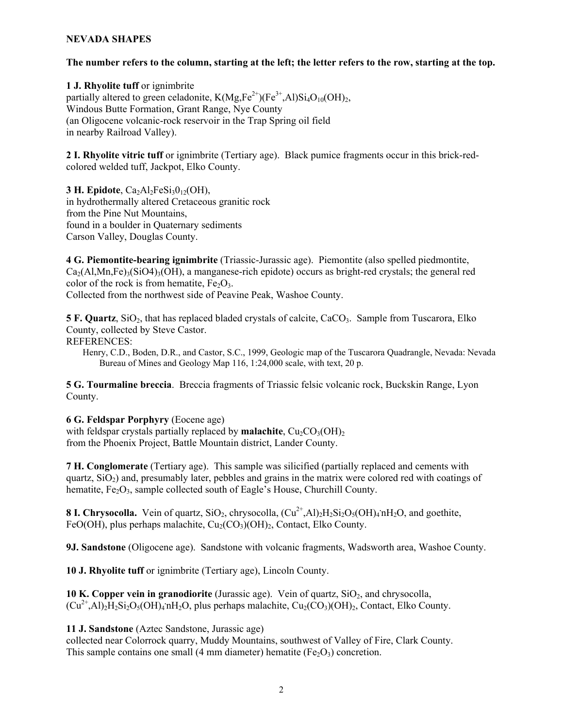### **NEVADA SHAPES**

### **The number refers to the column, starting at the left; the letter refers to the row, starting at the top.**

**1 J. Rhyolite tuff** or ignimbrite partially altered to green celadonite,  $K(Mg,Fe^{2+})(Fe^{3+},Al)Si<sub>4</sub>O<sub>10</sub>(OH)<sub>2</sub>$ , Windous Butte Formation, Grant Range, Nye County (an Oligocene volcanic-rock reservoir in the Trap Spring oil field in nearby Railroad Valley).

**2 I. Rhyolite vitric tuff** or ignimbrite (Tertiary age). Black pumice fragments occur in this brick-redcolored welded tuff, Jackpot, Elko County.

**3 H. Epidote**,  $Ca_2Al_2FeSi_3O_{12}(OH)$ , in hydrothermally altered Cretaceous granitic rock from the Pine Nut Mountains, found in a boulder in Quaternary sediments Carson Valley, Douglas County.

**4 G. Piemontite-bearing ignimbrite** (Triassic-Jurassic age). Piemontite (also spelled piedmontite,  $Ca<sub>2</sub>(Al,Mn,Fe)<sub>3</sub>(SiO4)<sub>3</sub>(OH)$ , a manganese-rich epidote) occurs as bright-red crystals; the general red color of the rock is from hematite,  $Fe<sub>2</sub>O<sub>3</sub>$ . Collected from the northwest side of Peavine Peak, Washoe County.

**5 F. Quartz**, SiO<sub>2</sub>, that has replaced bladed crystals of calcite, CaCO<sub>3</sub>. Sample from Tuscarora, Elko County, collected by Steve Castor.

REFERENCES:

Henry, C.D., Boden, D.R., and Castor, S.C., 1999, Geologic map of the Tuscarora Quadrangle, Nevada: Nevada Bureau of Mines and Geology Map 116, 1:24,000 scale, with text, 20 p.

**5 G. Tourmaline breccia**. Breccia fragments of Triassic felsic volcanic rock, Buckskin Range, Lyon County.

**6 G. Feldspar Porphyry** (Eocene age)

with feldspar crystals partially replaced by **malachite**,  $Cu_2CO_3(OH)$ <sub>2</sub> from the Phoenix Project, Battle Mountain district, Lander County.

**7 H. Conglomerate** (Tertiary age). This sample was silicified (partially replaced and cements with quartz,  $SiO<sub>2</sub>$ ) and, presumably later, pebbles and grains in the matrix were colored red with coatings of hematite,  $Fe<sub>2</sub>O<sub>3</sub>$ , sample collected south of Eagle's House, Churchill County.

**8 I. Chrysocolla.** Vein of quartz,  $SiO_2$ , chrysocolla,  $(Cu^{2+}, Al)_2H_2Si_2O_5(OH)_4nH_2O$ , and goethite, FeO(OH), plus perhaps malachite,  $Cu<sub>2</sub>(CO<sub>3</sub>)(OH)<sub>2</sub>$ , Contact, Elko County.

**9J. Sandstone** (Oligocene age). Sandstone with volcanic fragments, Wadsworth area, Washoe County.

10 J. Rhyolite tuff or ignimbrite (Tertiary age), Lincoln County.

**10 K. Copper vein in granodiorite** (Jurassic age). Vein of quartz, SiO<sub>2</sub>, and chrysocolla,  $(Cu^{2+}, Al)_2H_2Si_2O_5(OH)_4$  nH<sub>2</sub>O, plus perhaps malachite,  $Cu_2(CO_3)(OH)_2$ , Contact, Elko County.

**11 J. Sandstone** (Aztec Sandstone, Jurassic age)

collected near Colorrock quarry, Muddy Mountains, southwest of Valley of Fire, Clark County. This sample contains one small (4 mm diameter) hematite (Fe<sub>2</sub>O<sub>3</sub>) concretion.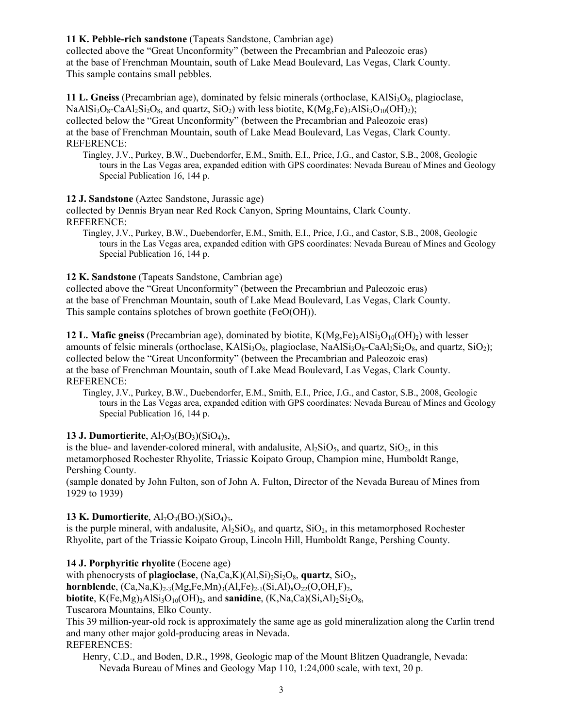## **11 K. Pebble-rich sandstone** (Tapeats Sandstone, Cambrian age)

collected above the "Great Unconformity" (between the Precambrian and Paleozoic eras) at the base of Frenchman Mountain, south of Lake Mead Boulevard, Las Vegas, Clark County. This sample contains small pebbles.

**11 L. Gneiss** (Precambrian age), dominated by felsic minerals (orthoclase, KAlSi<sub>3</sub>O<sub>8</sub>, plagioclase,  $NaAlSi<sub>3</sub>O<sub>8</sub>-CaAl<sub>2</sub>Si<sub>2</sub>O<sub>8</sub>$ , and quartz,  $SiO<sub>2</sub>$ ) with less biotite,  $K(Mg<sub>5</sub>Fe)<sub>3</sub>AlSi<sub>3</sub>O<sub>10</sub>(OH)<sub>2</sub>)$ ; collected below the "Great Unconformity" (between the Precambrian and Paleozoic eras) at the base of Frenchman Mountain, south of Lake Mead Boulevard, Las Vegas, Clark County. REFERENCE:

Tingley, J.V., Purkey, B.W., Duebendorfer, E.M., Smith, E.I., Price, J.G., and Castor, S.B., 2008, Geologic tours in the Las Vegas area, expanded edition with GPS coordinates: Nevada Bureau of Mines and Geology Special Publication 16, 144 p.

## **12 J. Sandstone** (Aztec Sandstone, Jurassic age)

collected by Dennis Bryan near Red Rock Canyon, Spring Mountains, Clark County. REFERENCE:

Tingley, J.V., Purkey, B.W., Duebendorfer, E.M., Smith, E.I., Price, J.G., and Castor, S.B., 2008, Geologic tours in the Las Vegas area, expanded edition with GPS coordinates: Nevada Bureau of Mines and Geology Special Publication 16, 144 p.

## **12 K. Sandstone** (Tapeats Sandstone, Cambrian age)

collected above the "Great Unconformity" (between the Precambrian and Paleozoic eras) at the base of Frenchman Mountain, south of Lake Mead Boulevard, Las Vegas, Clark County. This sample contains splotches of brown goethite (FeO(OH)).

**12 L. Mafic gneiss** (Precambrian age), dominated by biotite,  $K(Mg,Fe)$ <sub>3</sub>AlSi<sub>3</sub>O<sub>10</sub>(OH)<sub>2</sub>) with lesser amounts of felsic minerals (orthoclase,  $KASi<sub>3</sub>O<sub>8</sub>$ , plagioclase,  $NaASi<sub>3</sub>O<sub>8</sub>-CaA<sub>2</sub>Si<sub>2</sub>O<sub>8</sub>$ , and quartz,  $SiO<sub>2</sub>$ ); collected below the "Great Unconformity" (between the Precambrian and Paleozoic eras) at the base of Frenchman Mountain, south of Lake Mead Boulevard, Las Vegas, Clark County. REFERENCE:

Tingley, J.V., Purkey, B.W., Duebendorfer, E.M., Smith, E.I., Price, J.G., and Castor, S.B., 2008, Geologic tours in the Las Vegas area, expanded edition with GPS coordinates: Nevada Bureau of Mines and Geology Special Publication 16, 144 p.

## **13 J. Dumortierite**,  $Al_7O_3(BO_3)(SiO_4)_{3}$ ,

is the blue- and lavender-colored mineral, with andalusite,  $A\rightarrow1.5$ io<sub>5</sub>, and quartz, SiO<sub>2</sub>, in this metamorphosed Rochester Rhyolite, Triassic Koipato Group, Champion mine, Humboldt Range, Pershing County.

(sample donated by John Fulton, son of John A. Fulton, Director of the Nevada Bureau of Mines from 1929 to 1939)

## **13 K. Dumortierite**,  $Al_7O_3(BO_3)(SiO_4)_{3}$ ,

is the purple mineral, with andalusite,  $A\rightarrow S$ iO<sub>5</sub>, and quartz,  $SiO_2$ , in this metamorphosed Rochester Rhyolite, part of the Triassic Koipato Group, Lincoln Hill, Humboldt Range, Pershing County.

## **14 J. Porphyritic rhyolite** (Eocene age)

with phenocrysts of **plagioclase**,  $(Na, Ca, K)(A1, Si)_{2}Si_{2}O_{8}$ , **quartz**,  $SiO_{2}$ , **hornblende**,  $(Ca, Na, K)_{2\cdot3}(Mg, Fe, Mn)_{3}(Al, Fe)_{2\cdot1}(Si, Al)_{8}O_{22}(O, OH, F)_{2}$ , **biotite**,  $K(Fe, Mg)$ <sub>3</sub>AlSi<sub>3</sub>O<sub>10</sub>(OH)<sub>2</sub>, and **sanidine**,  $(K, Na, Ca)(Si, Al)$ <sub>2</sub>Si<sub>2</sub>O<sub>8</sub>,

Tuscarora Mountains, Elko County.

This 39 million-year-old rock is approximately the same age as gold mineralization along the Carlin trend and many other major gold-producing areas in Nevada.

REFERENCES:

Henry, C.D., and Boden, D.R., 1998, Geologic map of the Mount Blitzen Quadrangle, Nevada: Nevada Bureau of Mines and Geology Map 110, 1:24,000 scale, with text, 20 p.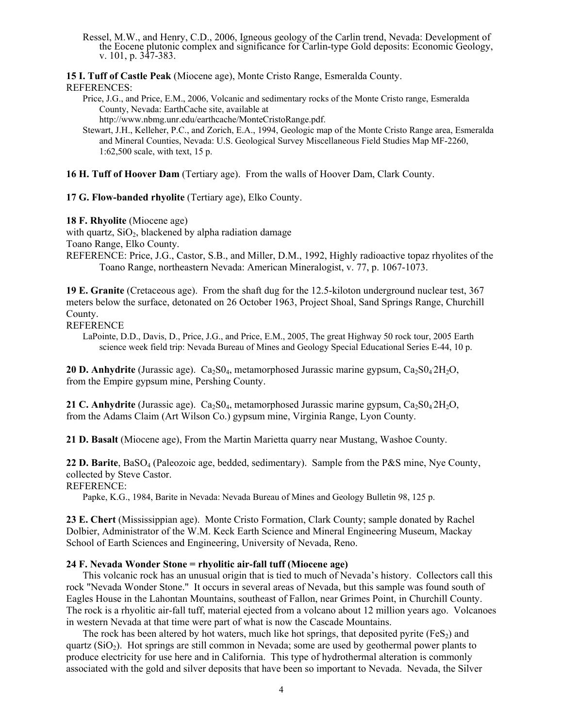Ressel, M.W., and Henry, C.D., 2006, Igneous geology of the Carlin trend, Nevada: Development of the Eocene plutonic complex and significance for Carlin-type Gold deposits: Economic Geology, v. 101, p. 347-383.

**15 I. Tuff of Castle Peak** (Miocene age), Monte Cristo Range, Esmeralda County.

### REFERENCES:

Price, J.G., and Price, E.M., 2006, Volcanic and sedimentary rocks of the Monte Cristo range, Esmeralda County, Nevada: EarthCache site, available at

http://www.nbmg.unr.edu/earthcache/MonteCristoRange.pdf.

- Stewart, J.H., Kelleher, P.C., and Zorich, E.A., 1994, Geologic map of the Monte Cristo Range area, Esmeralda and Mineral Counties, Nevada: U.S. Geological Survey Miscellaneous Field Studies Map MF-2260, 1:62,500 scale, with text, 15 p.
- **16 H. Tuff of Hoover Dam** (Tertiary age). From the walls of Hoover Dam, Clark County.

**17 G. Flow-banded rhyolite** (Tertiary age), Elko County.

**18 F. Rhyolite** (Miocene age)

with quartz,  $SiO<sub>2</sub>$ , blackened by alpha radiation damage

Toano Range, Elko County.

REFERENCE: Price, J.G., Castor, S.B., and Miller, D.M., 1992, Highly radioactive topaz rhyolites of the Toano Range, northeastern Nevada: American Mineralogist, v. 77, p. 1067-1073.

**19 E. Granite** (Cretaceous age). From the shaft dug for the 12.5-kiloton underground nuclear test, 367 meters below the surface, detonated on 26 October 1963, Project Shoal, Sand Springs Range, Churchill County.

**REFERENCE** 

LaPointe, D.D., Davis, D., Price, J.G., and Price, E.M., 2005, The great Highway 50 rock tour, 2005 Earth science week field trip: Nevada Bureau of Mines and Geology Special Educational Series E-44, 10 p.

20 D. Anhydrite (Jurassic age). Ca<sub>2</sub>S0<sub>4</sub>, metamorphosed Jurassic marine gypsum, Ca<sub>2</sub>S0<sub>4</sub>2H<sub>2</sub>O, from the Empire gypsum mine, Pershing County.

21 C. Anhydrite (Jurassic age). Ca<sub>2</sub>S0<sub>4</sub>, metamorphosed Jurassic marine gypsum, Ca<sub>2</sub>S0<sub>4</sub>2H<sub>2</sub>O, from the Adams Claim (Art Wilson Co.) gypsum mine, Virginia Range, Lyon County.

**21 D. Basalt** (Miocene age), From the Martin Marietta quarry near Mustang, Washoe County.

**22 D. Barite**, BaSO4 (Paleozoic age, bedded, sedimentary). Sample from the P&S mine, Nye County, collected by Steve Castor.

REFERENCE:

Papke, K.G., 1984, Barite in Nevada: Nevada Bureau of Mines and Geology Bulletin 98, 125 p.

**23 E. Chert** (Mississippian age). Monte Cristo Formation, Clark County; sample donated by Rachel Dolbier, Administrator of the W.M. Keck Earth Science and Mineral Engineering Museum, Mackay School of Earth Sciences and Engineering, University of Nevada, Reno.

## **24 F. Nevada Wonder Stone = rhyolitic air-fall tuff (Miocene age)**

This volcanic rock has an unusual origin that is tied to much of Nevada's history. Collectors call this rock "Nevada Wonder Stone." It occurs in several areas of Nevada, but this sample was found south of Eagles House in the Lahontan Mountains, southeast of Fallon, near Grimes Point, in Churchill County. The rock is a rhyolitic air-fall tuff, material ejected from a volcano about 12 million years ago. Volcanoes in western Nevada at that time were part of what is now the Cascade Mountains.

The rock has been altered by hot waters, much like hot springs, that deposited pyrite ( $FES<sub>2</sub>$ ) and quartz  $(SiO<sub>2</sub>)$ . Hot springs are still common in Nevada; some are used by geothermal power plants to produce electricity for use here and in California. This type of hydrothermal alteration is commonly associated with the gold and silver deposits that have been so important to Nevada. Nevada, the Silver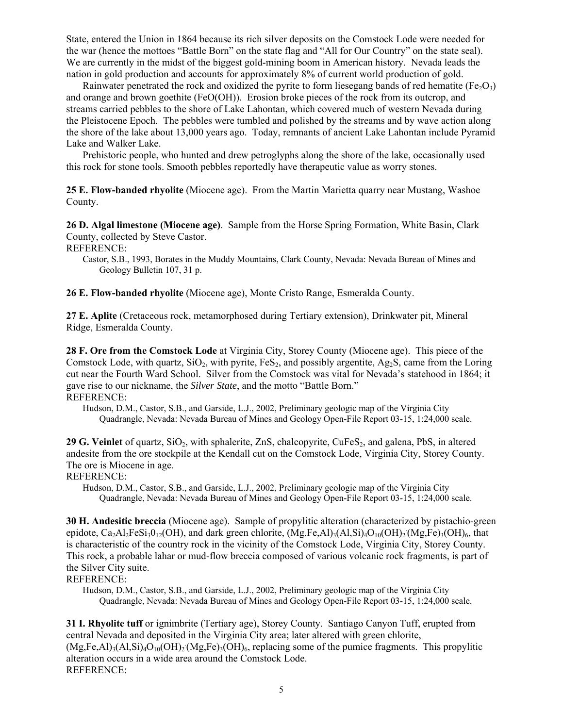State, entered the Union in 1864 because its rich silver deposits on the Comstock Lode were needed for the war (hence the mottoes "Battle Born" on the state flag and "All for Our Country" on the state seal). We are currently in the midst of the biggest gold-mining boom in American history. Nevada leads the nation in gold production and accounts for approximately 8% of current world production of gold.

Rainwater penetrated the rock and oxidized the pyrite to form liesegang bands of red hematite (Fe $\Omega_3$ ) and orange and brown goethite (FeO(OH)). Erosion broke pieces of the rock from its outcrop, and streams carried pebbles to the shore of Lake Lahontan, which covered much of western Nevada during the Pleistocene Epoch. The pebbles were tumbled and polished by the streams and by wave action along the shore of the lake about 13,000 years ago. Today, remnants of ancient Lake Lahontan include Pyramid Lake and Walker Lake.

Prehistoric people, who hunted and drew petroglyphs along the shore of the lake, occasionally used this rock for stone tools. Smooth pebbles reportedly have therapeutic value as worry stones.

**25 E. Flow-banded rhyolite** (Miocene age). From the Martin Marietta quarry near Mustang, Washoe County.

**26 D. Algal limestone (Miocene age)**. Sample from the Horse Spring Formation, White Basin, Clark County, collected by Steve Castor.

REFERENCE:

Castor, S.B., 1993, Borates in the Muddy Mountains, Clark County, Nevada: Nevada Bureau of Mines and Geology Bulletin 107, 31 p.

**26 E. Flow-banded rhyolite** (Miocene age), Monte Cristo Range, Esmeralda County.

**27 E. Aplite** (Cretaceous rock, metamorphosed during Tertiary extension), Drinkwater pit, Mineral Ridge, Esmeralda County.

**28 F. Ore from the Comstock Lode** at Virginia City, Storey County (Miocene age). This piece of the Comstock Lode, with quartz,  $SiO_2$ , with pyrite,  $FeS_2$ , and possibly argentite, Ag<sub>2</sub>S, came from the Loring cut near the Fourth Ward School. Silver from the Comstock was vital for Nevada's statehood in 1864; it gave rise to our nickname, the *Silver State*, and the motto "Battle Born." REFERENCE:

Hudson, D.M., Castor, S.B., and Garside, L.J., 2002, Preliminary geologic map of the Virginia City Quadrangle, Nevada: Nevada Bureau of Mines and Geology Open-File Report 03-15, 1:24,000 scale.

29 G. Veinlet of quartz, SiO<sub>2</sub>, with sphalerite, ZnS, chalcopyrite, CuFeS<sub>2</sub>, and galena, PbS, in altered andesite from the ore stockpile at the Kendall cut on the Comstock Lode, Virginia City, Storey County. The ore is Miocene in age.

REFERENCE:

Hudson, D.M., Castor, S.B., and Garside, L.J., 2002, Preliminary geologic map of the Virginia City Quadrangle, Nevada: Nevada Bureau of Mines and Geology Open-File Report 03-15, 1:24,000 scale.

**30 H. Andesitic breccia** (Miocene age). Sample of propylitic alteration (characterized by pistachio-green epidote, Ca<sub>2</sub>Al<sub>2</sub>FeSi<sub>3</sub>0<sub>12</sub>(OH), and dark green chlorite,  $(Mg,Fe,Al)_{3}(Al,Si)_{4}O_{10}(OH)_{2}(Mg,Fe)_{3}(OH)_{6}$ , that is characteristic of the country rock in the vicinity of the Comstock Lode, Virginia City, Storey County. This rock, a probable lahar or mud-flow breccia composed of various volcanic rock fragments, is part of the Silver City suite.

REFERENCE:

Hudson, D.M., Castor, S.B., and Garside, L.J., 2002, Preliminary geologic map of the Virginia City Quadrangle, Nevada: Nevada Bureau of Mines and Geology Open-File Report 03-15, 1:24,000 scale.

**31 I. Rhyolite tuff** or ignimbrite (Tertiary age), Storey County. Santiago Canyon Tuff, erupted from central Nevada and deposited in the Virginia City area; later altered with green chlorite,  $(Mg,Fe,Al)_3(Al,Si)_4O_{10}(OH)_2(Mg,Fe)_3(OH)_6$ , replacing some of the pumice fragments. This propylitic alteration occurs in a wide area around the Comstock Lode. REFERENCE: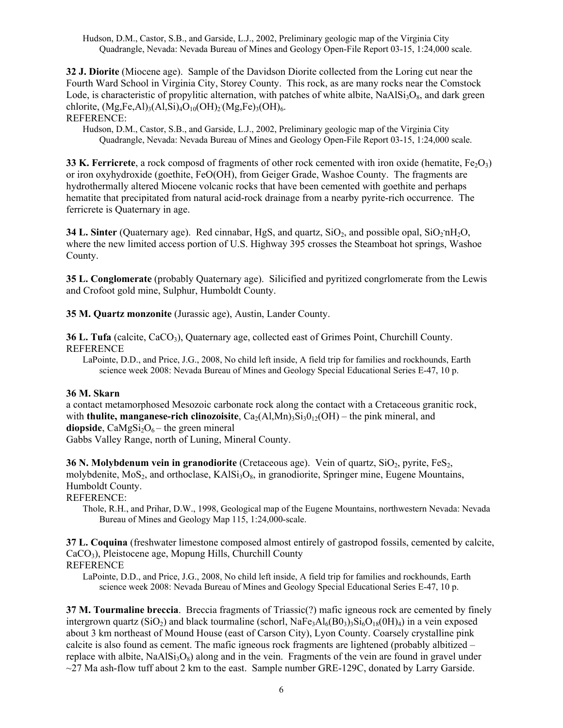Hudson, D.M., Castor, S.B., and Garside, L.J., 2002, Preliminary geologic map of the Virginia City Quadrangle, Nevada: Nevada Bureau of Mines and Geology Open-File Report 03-15, 1:24,000 scale.

**32 J. Diorite** (Miocene age). Sample of the Davidson Diorite collected from the Loring cut near the Fourth Ward School in Virginia City, Storey County. This rock, as are many rocks near the Comstock Lode, is characteristic of propylitic alternation, with patches of white albite,  $NaAlSi<sub>3</sub>O<sub>8</sub>$ , and dark green chlorite,  $(Mg, Fe, Al)_3 (Al, Si)_4 O_{10}(OH)_2 (Mg, Fe)_3(OH)_6$ .

REFERENCE:

Hudson, D.M., Castor, S.B., and Garside, L.J., 2002, Preliminary geologic map of the Virginia City Quadrangle, Nevada: Nevada Bureau of Mines and Geology Open-File Report 03-15, 1:24,000 scale.

**33 K. Ferricrete**, a rock composd of fragments of other rock cemented with iron oxide (hematite,  $Fe<sub>2</sub>O<sub>3</sub>$ ) or iron oxyhydroxide (goethite, FeO(OH), from Geiger Grade, Washoe County. The fragments are hydrothermally altered Miocene volcanic rocks that have been cemented with goethite and perhaps hematite that precipitated from natural acid-rock drainage from a nearby pyrite-rich occurrence. The ferricrete is Quaternary in age.

**34 L. Sinter** (Quaternary age). Red cinnabar, HgS, and quartz, SiO<sub>2</sub>, and possible opal, SiO<sub>2</sub>'nH<sub>2</sub>O, where the new limited access portion of U.S. Highway 395 crosses the Steamboat hot springs, Washoe County.

**35 L. Conglomerate** (probably Quaternary age). Silicified and pyritized congrlomerate from the Lewis and Crofoot gold mine, Sulphur, Humboldt County.

**35 M. Quartz monzonite** (Jurassic age), Austin, Lander County.

**36 L. Tufa** (calcite, CaCO<sub>3</sub>), Quaternary age, collected east of Grimes Point, Churchill County. REFERENCE

LaPointe, D.D., and Price, J.G., 2008, No child left inside, A field trip for families and rockhounds, Earth science week 2008: Nevada Bureau of Mines and Geology Special Educational Series E-47, 10 p.

### **36 M. Skarn**

a contact metamorphosed Mesozoic carbonate rock along the contact with a Cretaceous granitic rock, with **thulite, manganese-rich clinozoisite**,  $Ca_2(Al,Mn)$ <sub>3</sub> $Si_3O_{12}(OH)$  – the pink mineral, and **diopside**,  $CaMgSi<sub>2</sub>O<sub>6</sub> -$  the green mineral

Gabbs Valley Range, north of Luning, Mineral County.

**36 N. Molybdenum vein in granodiorite** (Cretaceous age). Vein of quartz, SiO<sub>2</sub>, pyrite, FeS<sub>2</sub>, molybdenite,  $MoS<sub>2</sub>$ , and orthoclase,  $KAISi<sub>3</sub>O<sub>8</sub>$ , in granodiorite, Springer mine, Eugene Mountains, Humboldt County.

REFERENCE:

Thole, R.H., and Prihar, D.W., 1998, Geological map of the Eugene Mountains, northwestern Nevada: Nevada Bureau of Mines and Geology Map 115, 1:24,000-scale.

**37 L. Coquina** (freshwater limestone composed almost entirely of gastropod fossils, cemented by calcite, CaCO<sub>3</sub>), Pleistocene age, Mopung Hills, Churchill County REFERENCE

LaPointe, D.D., and Price, J.G., 2008, No child left inside, A field trip for families and rockhounds, Earth science week 2008: Nevada Bureau of Mines and Geology Special Educational Series E-47, 10 p.

**37 M. Tourmaline breccia**. Breccia fragments of Triassic(?) mafic igneous rock are cemented by finely intergrown quartz  $(SiO_2)$  and black tourmaline (schorl,  $NaFe<sub>3</sub>Al<sub>6</sub>(BO<sub>3</sub>)<sub>3</sub>Si<sub>6</sub>O<sub>18</sub>(OH)<sub>4</sub>$ ) in a vein exposed about 3 km northeast of Mound House (east of Carson City), Lyon County. Coarsely crystalline pink calcite is also found as cement. The mafic igneous rock fragments are lightened (probably albitized – replace with albite,  $NaAlSi<sub>3</sub>O<sub>8</sub>$  along and in the vein. Fragments of the vein are found in gravel under  $\sim$ 27 Ma ash-flow tuff about 2 km to the east. Sample number GRE-129C, donated by Larry Garside.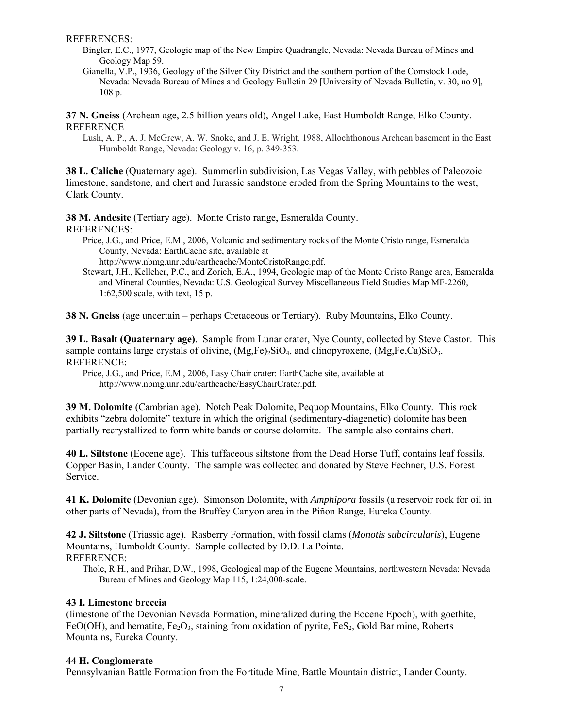REFERENCES:

- Bingler, E.C., 1977, Geologic map of the New Empire Quadrangle, Nevada: Nevada Bureau of Mines and Geology Map 59.
- Gianella, V.P., 1936, Geology of the Silver City District and the southern portion of the Comstock Lode, Nevada: Nevada Bureau of Mines and Geology Bulletin 29 [University of Nevada Bulletin, v. 30, no 9], 108 p.

**37 N. Gneiss** (Archean age, 2.5 billion years old), Angel Lake, East Humboldt Range, Elko County. REFERENCE

Lush, A. P., A. J. McGrew, A. W. Snoke, and J. E. Wright, 1988, Allochthonous Archean basement in the East Humboldt Range, Nevada: Geology v. 16, p. 349-353.

**38 L. Caliche** (Quaternary age). Summerlin subdivision, Las Vegas Valley, with pebbles of Paleozoic limestone, sandstone, and chert and Jurassic sandstone eroded from the Spring Mountains to the west, Clark County.

**38 M. Andesite** (Tertiary age). Monte Cristo range, Esmeralda County. REFERENCES:

Price, J.G., and Price, E.M., 2006, Volcanic and sedimentary rocks of the Monte Cristo range, Esmeralda County, Nevada: EarthCache site, available at

http://www.nbmg.unr.edu/earthcache/MonteCristoRange.pdf.

Stewart, J.H., Kelleher, P.C., and Zorich, E.A., 1994, Geologic map of the Monte Cristo Range area, Esmeralda and Mineral Counties, Nevada: U.S. Geological Survey Miscellaneous Field Studies Map MF-2260, 1:62,500 scale, with text, 15 p.

**38 N. Gneiss** (age uncertain – perhaps Cretaceous or Tertiary). Ruby Mountains, Elko County.

**39 L. Basalt (Quaternary age)**. Sample from Lunar crater, Nye County, collected by Steve Castor. This sample contains large crystals of olivine,  $(Mg,Fe)SiO<sub>4</sub>$ , and clinopyroxene,  $(Mg,Fe,Ca)SiO<sub>3</sub>$ . REFERENCE:

Price, J.G., and Price, E.M., 2006, Easy Chair crater: EarthCache site, available at http://www.nbmg.unr.edu/earthcache/EasyChairCrater.pdf.

**39 M. Dolomite** (Cambrian age). Notch Peak Dolomite, Pequop Mountains, Elko County. This rock exhibits "zebra dolomite" texture in which the original (sedimentary-diagenetic) dolomite has been partially recrystallized to form white bands or course dolomite. The sample also contains chert.

**40 L. Siltstone** (Eocene age). This tuffaceous siltstone from the Dead Horse Tuff, contains leaf fossils. Copper Basin, Lander County. The sample was collected and donated by Steve Fechner, U.S. Forest Service.

**41 K. Dolomite** (Devonian age). Simonson Dolomite, with *Amphipora* fossils (a reservoir rock for oil in other parts of Nevada), from the Bruffey Canyon area in the Piñon Range, Eureka County.

**42 J. Siltstone** (Triassic age). Rasberry Formation, with fossil clams (*Monotis subcircularis*), Eugene Mountains, Humboldt County. Sample collected by D.D. La Pointe. REFERENCE:

Thole, R.H., and Prihar, D.W., 1998, Geological map of the Eugene Mountains, northwestern Nevada: Nevada Bureau of Mines and Geology Map 115, 1:24,000-scale.

## **43 I. Limestone breccia**

(limestone of the Devonian Nevada Formation, mineralized during the Eocene Epoch), with goethite, FeO(OH), and hematite,  $Fe_2O_3$ , staining from oxidation of pyrite, FeS<sub>2</sub>, Gold Bar mine, Roberts Mountains, Eureka County.

## **44 H. Conglomerate**

Pennsylvanian Battle Formation from the Fortitude Mine, Battle Mountain district, Lander County.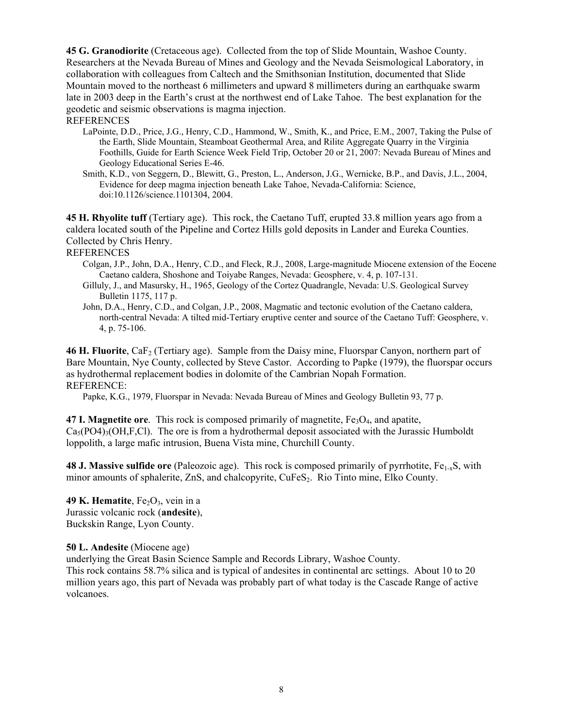**45 G. Granodiorite** (Cretaceous age). Collected from the top of Slide Mountain, Washoe County. Researchers at the Nevada Bureau of Mines and Geology and the Nevada Seismological Laboratory, in collaboration with colleagues from Caltech and the Smithsonian Institution, documented that Slide Mountain moved to the northeast 6 millimeters and upward 8 millimeters during an earthquake swarm late in 2003 deep in the Earth's crust at the northwest end of Lake Tahoe. The best explanation for the geodetic and seismic observations is magma injection.

### REFERENCES

- LaPointe, D.D., Price, J.G., Henry, C.D., Hammond, W., Smith, K., and Price, E.M., 2007, Taking the Pulse of the Earth, Slide Mountain, Steamboat Geothermal Area, and Rilite Aggregate Quarry in the Virginia Foothills, Guide for Earth Science Week Field Trip, October 20 or 21, 2007: Nevada Bureau of Mines and Geology Educational Series E-46.
- Smith, K.D., von Seggern, D., Blewitt, G., Preston, L., Anderson, J.G., Wernicke, B.P., and Davis, J.L., 2004, Evidence for deep magma injection beneath Lake Tahoe, Nevada-California: Science, doi:10.1126/science.1101304, 2004.

**45 H. Rhyolite tuff** (Tertiary age). This rock, the Caetano Tuff, erupted 33.8 million years ago from a caldera located south of the Pipeline and Cortez Hills gold deposits in Lander and Eureka Counties. Collected by Chris Henry.

## REFERENCES

- Colgan, J.P., John, D.A., Henry, C.D., and Fleck, R.J., 2008, Large-magnitude Miocene extension of the Eocene Caetano caldera, Shoshone and Toiyabe Ranges, Nevada: Geosphere, v. 4, p. 107-131.
- Gilluly, J., and Masursky, H., 1965, Geology of the Cortez Quadrangle, Nevada: U.S. Geological Survey Bulletin 1175, 117 p.
- John, D.A., Henry, C.D., and Colgan, J.P., 2008, Magmatic and tectonic evolution of the Caetano caldera, north-central Nevada: A tilted mid-Tertiary eruptive center and source of the Caetano Tuff: Geosphere, v. 4, p. 75-106.

**46 H. Fluorite**, CaF<sub>2</sub> (Tertiary age). Sample from the Daisy mine, Fluorspar Canyon, northern part of Bare Mountain, Nye County, collected by Steve Castor. According to Papke (1979), the fluorspar occurs as hydrothermal replacement bodies in dolomite of the Cambrian Nopah Formation. REFERENCE:

Papke, K.G., 1979, Fluorspar in Nevada: Nevada Bureau of Mines and Geology Bulletin 93, 77 p.

**47 I. Magnetite ore**. This rock is composed primarily of magnetite, Fe<sub>3</sub>O<sub>4</sub>, and apatite,  $Ca<sub>3</sub>(PO4)<sub>3</sub>(OH,F,CI)$ . The ore is from a hydrothermal deposit associated with the Jurassic Humboldt loppolith, a large mafic intrusion, Buena Vista mine, Churchill County.

**48 J. Massive sulfide ore** (Paleozoic age). This rock is composed primarily of pyrrhotite, Fe<sub>1-x</sub>S, with minor amounts of sphalerite, ZnS, and chalcopyrite, CuFeS<sub>2</sub>. Rio Tinto mine, Elko County.

**49 K. Hematite**,  $Fe<sub>2</sub>O<sub>3</sub>$ , vein in a Jurassic volcanic rock (**andesite**), Buckskin Range, Lyon County.

### **50 L. Andesite** (Miocene age)

underlying the Great Basin Science Sample and Records Library, Washoe County. This rock contains 58.7% silica and is typical of andesites in continental arc settings. About 10 to 20 million years ago, this part of Nevada was probably part of what today is the Cascade Range of active volcanoes.